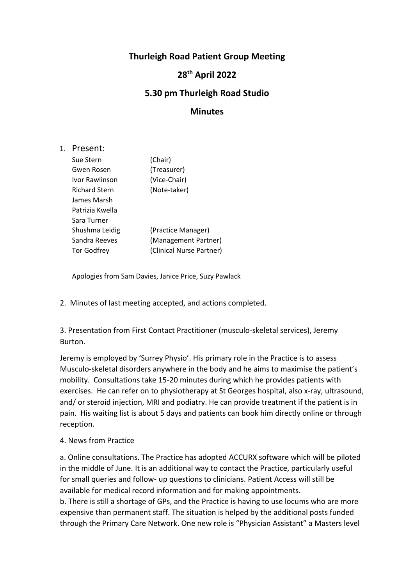## **Thurleigh Road Patient Group Meeting**

## **28th April 2022**

## **5.30 pm Thurleigh Road Studio**

## **Minutes**

1. Present:

| Sue Stern            | (Chair)                  |
|----------------------|--------------------------|
| Gwen Rosen           | (Treasurer)              |
| Ivor Rawlinson       | (Vice-Chair)             |
| <b>Richard Stern</b> | (Note-taker)             |
| James Marsh          |                          |
| Patrizia Kwella      |                          |
| Sara Turner          |                          |
| Shushma Leidig       | (Practice Manager)       |
| Sandra Reeves        | (Management Partner)     |
| <b>Tor Godfrey</b>   | (Clinical Nurse Partner) |
|                      |                          |

Apologies from Sam Davies, Janice Price, Suzy Pawlack

2. Minutes of last meeting accepted, and actions completed.

3. Presentation from First Contact Practitioner (musculo-skeletal services), Jeremy Burton.

Jeremy is employed by 'Surrey Physio'. His primary role in the Practice is to assess Musculo-skeletal disorders anywhere in the body and he aims to maximise the patient's mobility. Consultations take 15-20 minutes during which he provides patients with exercises. He can refer on to physiotherapy at St Georges hospital, also x-ray, ultrasound, and/ or steroid injection, MRI and podiatry. He can provide treatment if the patient is in pain. His waiting list is about 5 days and patients can book him directly online or through reception.

4. News from Practice

a. Online consultations. The Practice has adopted ACCURX software which will be piloted in the middle of June. It is an additional way to contact the Practice, particularly useful for small queries and follow- up questions to clinicians. Patient Access will still be available for medical record information and for making appointments.

b. There is still a shortage of GPs, and the Practice is having to use locums who are more expensive than permanent staff. The situation is helped by the additional posts funded through the Primary Care Network. One new role is "Physician Assistant" a Masters level